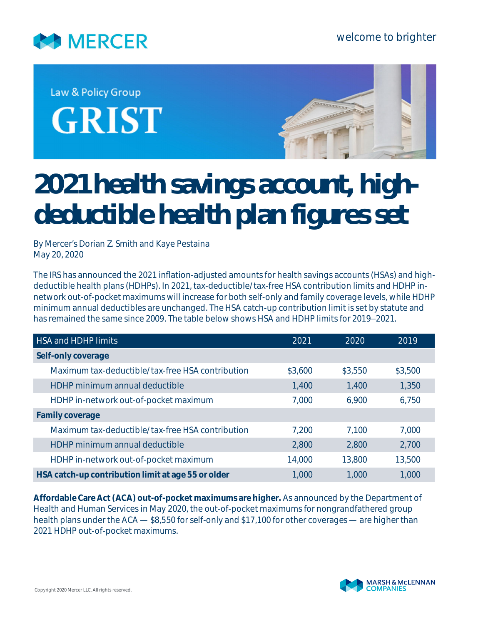

Law & Policy Group **GRIST** 



# **2021 health savings account, highdeductible health plan figures set**

*By Mercer's Dorian Z. Smith and Kaye Pestaina May 20, 2020*

The IRS has announced the [2021 inflation-adjusted amounts](https://www.irs.gov/pub/irs-drop/rp-20-32.pdf) for health savings accounts (HSAs) and highdeductible health plans (HDHPs). In 2021, tax-deductible/tax-free HSA contribution limits and HDHP innetwork out-of-pocket maximums will increase for both self-only and family coverage levels, while HDHP minimum annual deductibles are unchanged. The HSA catch-up contribution limit is set by statute and has remained the same since 2009. The table below shows HSA and HDHP limits for 2019–2021.

| <b>HSA and HDHP limits</b>                         | 2021    | 2020    | 2019    |
|----------------------------------------------------|---------|---------|---------|
| Self-only coverage                                 |         |         |         |
| Maximum tax-deductible/tax-free HSA contribution   | \$3,600 | \$3,550 | \$3,500 |
| HDHP minimum annual deductible                     | 1,400   | 1,400   | 1,350   |
| HDHP in-network out-of-pocket maximum              | 7,000   | 6,900   | 6,750   |
| Family coverage                                    |         |         |         |
| Maximum tax-deductible/tax-free HSA contribution   | 7,200   | 7,100   | 7,000   |
| HDHP minimum annual deductible                     | 2,800   | 2,800   | 2,700   |
| HDHP in-network out-of-pocket maximum              | 14,000  | 13,800  | 13,500  |
| HSA catch-up contribution limit at age 55 or older | 1,000   | 1,000   | 1,000   |

**Affordable Care Act (ACA) out-of-pocket maximums are higher.** As [announced](https://www.federalregister.gov/documents/2020/05/14/2020-10045/patient-protection-and-affordable-care-act-hhs-notice-of-benefit-and-payment-parameters-for-2021) by the Department of Health and Human Services in May 2020, the out-of-pocket maximums for nongrandfathered group health plans under the ACA - \$8,550 for self-only and \$17,100 for other coverages - are higher than 2021 HDHP out-of-pocket maximums.

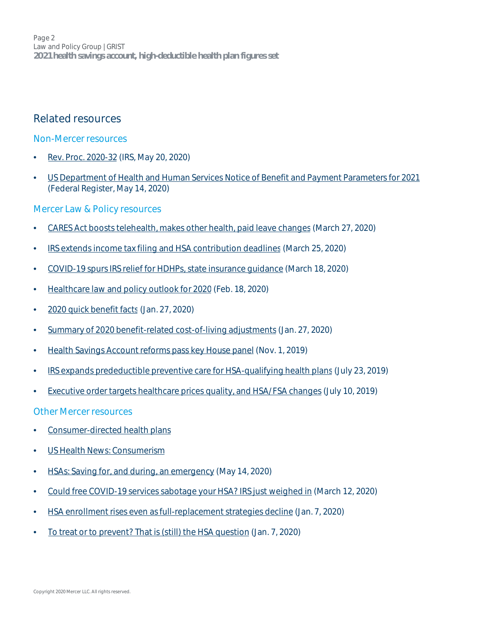Page 2 Law and Policy Group | GRIST **2021 health savings account, high-deductible health plan figures set**

## **Related resources**

#### **Non-Mercer resources**

- [Rev. Proc. 2020-32](https://www.irs.gov/pub/irs-drop/rp-20-32.pdf) (IRS, May 20, 2020)
- US [Department of Health and Human Services Notice of Benefit and Payment Parameters for 2021](https://www.federalregister.gov/d/2020-10045) (Federal Register, May 14, 2020)

### **Mercer Law & Policy resources**

- [CARES Act boosts telehealth, makes other health, paid leave changes](https://www.mercer.com/our-thinking/law-and-policy-group/cares-act-boosts-telehealth-makes-other-health-paid-leave-changes.html?) (March 27, 2020)
- [IRS extends income tax filing and HSA contribution deadlines](https://www.mercer.com/our-thinking/law-and-policy-group/irs-extends-income-tax-filing-hsa-contribution-deadlines.html) (March 25, 2020)
- [COVID-19 spurs IRS relief for HDHPs, state insurance guidance](https://www.mercer.com/our-thinking/law-and-policy-group/covid-19-spurs-irs-relief-for-hdhps-state-insurance-guidance.html) (March 18, 2020)
- [Healthcare law and policy outlook for 2020](https://www.mercer.com/our-thinking/law-and-policy-group/healthcare-law-and-policy-outlook-for-2020.html) (Feb. 18, 2020)
- [2020 quick benefit facts](https://www.mercer.com/our-thinking/law-and-policy-group/2020-quick-benefit-facts.html) (Jan. 27, 2020)
- [Summary of 2020 benefit-related cost-of-living adjustments](https://www.mercer.com/content/dam/mercer/attachments/global/law-and-policy/gl-2019-summary-of-2020-benefit-related-cost-of-living-adjustments.pdf) (Jan. 27, 2020)
- [Health Savings Account reforms pass key House panel](https://www.mercer.com/our-thinking/law-and-policy-group/health-savings-account-reforms-pass-key-house-panel.html) (Nov. 1, 2019)
- [IRS expands predeductible preventive care for HSA-qualifying health plans](https://www.mercer.com/our-thinking/law-and-policy-group/irs-expands-predeductible-preventive-care-for-hsa-qualifying-health-plans.html) (July 23, 2019)
- [Executive order targets healthcare prices quality, and HSA/FSA changes](https://www.mercer.com/our-thinking/law-and-policy-group/executive-order-targets-healthcare-price-and-quality-transparency.html) (July 10, 2019)

#### **Other Mercer resources**

- [Consumer-directed health plans](https://www.mercer.us/what-we-do/health-and-benefits/consumer-directed-health-plan.html)
- [US Health News: Consumerism](https://www.mercer.us/our-thinking/healthcare/consumerism.html)
- [HSAs: Saving for, and during, an emergency](https://www.mercer.us/our-thinking/healthcare/HSA-saving-for-and-during-an-emergency.html) (May 14, 2020)
- [Could free COVID-19 services sabotage your HSA? IRS just weighed in](https://www.mercer.us/our-thinking/healthcare/could-free-covid-19-services-sabotage-your-hsa-irs-just-weighed-in.html) (March 12, 2020)
- [HSA enrollment rises even as full-replacement strategies decline](https://www.mercer.us/our-thinking/healthcare/hsa-enrollment-rises-even-as-full-replacement-strategies-decline.html) (Jan. 7, 2020)
- [To treat or to prevent? That is \(still\) the HSA question](https://www.mercer.us/our-thinking/healthcare/to-treat-or-to-prevent-that-is-still-the-hsa-question.html) (Jan. 7, 2020)